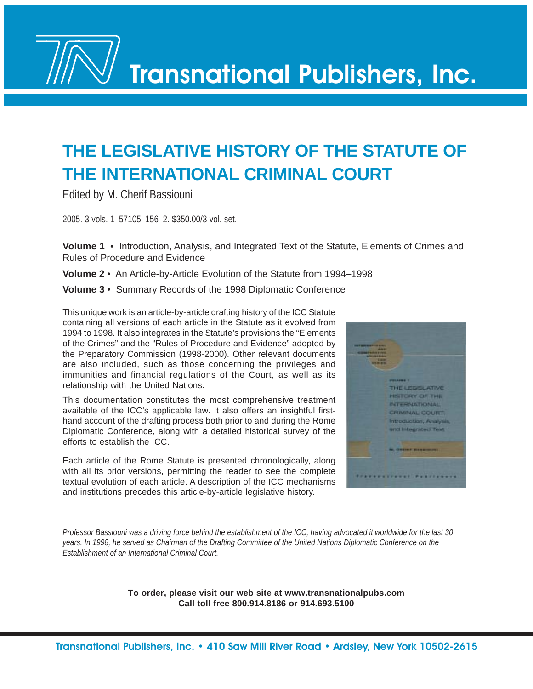Transnational Publishers, Inc.

# **THE LEGISLATIVE HISTORY OF THE STATUTE OF THE INTERNATIONAL CRIMINAL COURT**

Edited by M. Cherif Bassiouni

2005. 3 vols. 1–57105–156–2. \$350.00/3 vol. set.

**Volume 1** • Introduction, Analysis, and Integrated Text of the Statute, Elements of Crimes and Rules of Procedure and Evidence

**Volume 2** • An Article-by-Article Evolution of the Statute from 1994–1998

**Volume 3** • Summary Records of the 1998 Diplomatic Conference

This unique work is an article-by-article drafting history of the ICC Statute containing all versions of each article in the Statute as it evolved from 1994 to 1998. It also integrates in the Statute's provisions the "Elements of the Crimes" and the "Rules of Procedure and Evidence" adopted by the Preparatory Commission (1998-2000). Other relevant documents are also included, such as those concerning the privileges and immunities and financial regulations of the Court, as well as its relationship with the United Nations.

This documentation constitutes the most comprehensive treatment available of the ICC's applicable law. It also offers an insightful firsthand account of the drafting process both prior to and during the Rome Diplomatic Conference, along with a detailed historical survey of the efforts to establish the ICC.

Each article of the Rome Statute is presented chronologically, along with all its prior versions, permitting the reader to see the complete textual evolution of each article. A description of the ICC mechanisms and institutions precedes this article-by-article legislative history.



*Professor Bassiouni was a driving force behind the establishment of the ICC, having advocated it worldwide for the last 30 years. In 1998, he served as Chairman of the Drafting Committee of the United Nations Diplomatic Conference on the Establishment of an International Criminal Court.*

> **To order, please visit our web site at www.transnationalpubs.com Call toll free 800.914.8186 or 914.693.5100**